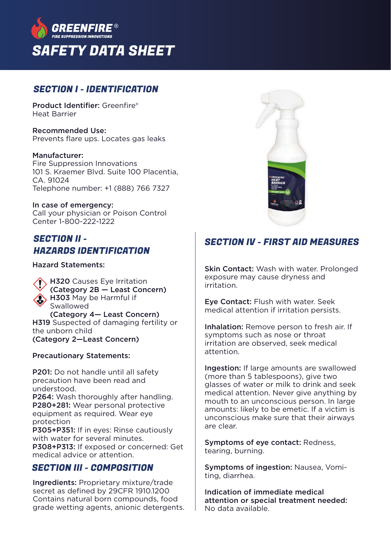

#### SECTION I - IDENTIFICATION

Product Identifier: Greenfire® Heat Barrier

Recommended Use: Prevents flare ups. Locates gas leaks

Manufacturer:

Fire Suppression Innovations 101 S. Kraemer Blvd. Suite 100 Placentia,  $C\Delta$  91024 Telephone number: +1 (888) 766 7327

In case of emergency: Call your physician or Poison Control Center 1-800-222-1222

## SECTION II - HAZARDS IDENTIFICATION

Hazard Statements:

**H320** Causes Eye Irritation (Category 2B — Least Concern) H303 May be Harmful if Swallowed (Category 4— Least Concern) H319 Suspected of damaging fertility or the unborn child (Category 2—Least Concern)

Precautionary Statements:

P201: Do not handle until all safety precaution have been read and understood.

P264: Wash thoroughly after handling. P280+281: Wear personal protective equipment as required. Wear eye protection

P305+P351: If in eyes: Rinse cautiously with water for several minutes. P308+P313: If exposed or concerned: Get medical advice or attention.

### SECTION III - COMPOSITION

Ingredients: Proprietary mixture/trade secret as defined by 29CFR 1910.1200 Contains natural born compounds, food grade wetting agents, anionic detergents.



# SECTION IV - FIRST AID MEASURES

Skin Contact: Wash with water. Prolonged exposure may cause dryness and irritation.

Eye Contact: Flush with water. Seek medical attention if irritation persists.

Inhalation: Remove person to fresh air. If symptoms such as nose or throat irritation are observed, seek medical attention.

Ingestion: If large amounts are swallowed (more than 5 tablespoons), give two glasses of water or milk to drink and seek medical attention. Never give anything by mouth to an unconscious person. In large amounts: likely to be emetic. If a victim is unconscious make sure that their airways are clear.

Symptoms of eye contact: Redness, tearing, burning.

Symptoms of ingestion: Nausea, Vomiting, diarrhea.

Indication of immediate medical attention or special treatment needed: No data available.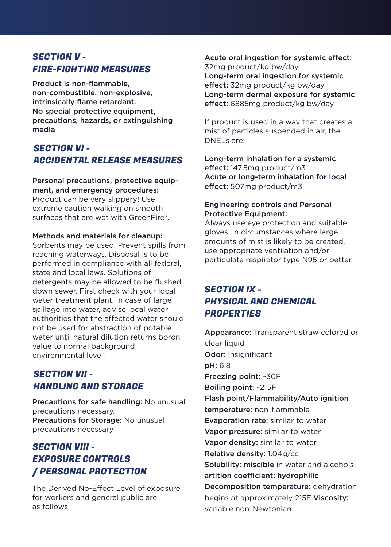### SECTION V - FIRE-FIGHTING MEASURES

Product is non-flammable, non-combustible, non-explosive, intrinsically flame retardant. No special protective equipment, precautions, hazards, or extinguishing media

#### SECTION VI - ACCIDENTAL RELEASE MEASURES

Personal precautions, protective equipment, and emergency procedures: Product can be very slippery! Use extreme caution walking on smooth surfaces that are wet with GreenFire®.

#### Methods and materials for cleanup:

Sorbents may be used. Prevent spills from reaching waterways. Disposal is to be performed in compliance with all federal, state and local laws. Solutions of detergents may be allowed to be flushed down sewer. First check with your local water treatment plant. In case of large spillage into water, advise local water authorities that the affected water should not be used for abstraction of potable water until natural dilution returns boron value to normal background environmental level.

#### SECTION VII - HANDLING AND STORAGE

Precautions for safe handling: No unusual precautions necessary. Precautions for Storage: No unusual precautions necessary

# SECTION VIII - EXPOSURE CONTROLS / PERSONAL PROTECTION

The Derived No-Effect Level of exposure for workers and general public are as follows:

Acute oral ingestion for systemic effect: 32mg product/kg bw/day Long-term oral ingestion for systemic effect: 32mg product/kg bw/day Long-term dermal exposure for systemic effect: 6885mg product/kg bw/day

If product is used in a way that creates a mist of particles suspended in air, the DNELs are:

Long-term inhalation for a systemic  $effect: 147.5ma product/m3$ Acute or long-term inhalation for local effect: 507mg product/m3

#### Engineering controls and Personal Protective Equipment:

Always use eye protection and suitable gloves. In circumstances where large amounts of mist is likely to be created, use appropriate ventilation and/or particulate respirator type N95 or better.

# SECTION IX - PHYSICAL AND CHEMICAL **PROPERTIES**

Appearance: Transparent straw colored or clear liquid Odor: Insignificant pH: 6.8 Freezing point: ~30F Boiling point: ~215F Flash point/Flammability/Auto ignition temperature: non-flammable Evaporation rate: similar to water Vapor pressure: similar to water Vapor density: similar to water Relative density: 1.04g/cc Solubility: miscible in water and alcohols artition coefficient: hydrophilic Decomposition temperature: dehydration begins at approximately 215F Viscosity: variable non-Newtonian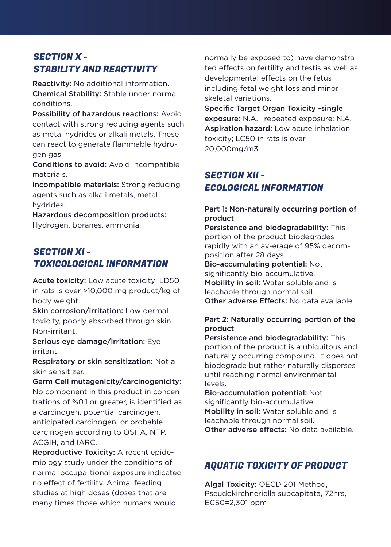# SECTION X - STABILITY AND REACTIVITY

Reactivity: No additional information. Chemical Stability: Stable under normal conditions.

Possibility of hazardous reactions: Avoid contact with strong reducing agents such as metal hydrides or alkali metals. These can react to generate flammable hydrogen gas.

Conditions to avoid: Avoid incompatible materials.

Incompatible materials: Strong reducing agents such as alkali metals, metal hydrides.

Hazardous decomposition products: Hydrogen, boranes, ammonia.

## SECTION XI - TOXICOLOGICAL INFORMATION

Acute toxicity: Low acute toxicity: LD50 in rats is over >10,000 mg product/kg of body weight.

Skin corrosion/irritation: Low dermal toxicity, poorly absorbed through skin. Non-irritant.

Serious eye damage/irritation: Eye irritant.

Respiratory or skin sensitization: Not a skin sensitizer.

Germ Cell mutagenicity/carcinogenicity: No component in this product in concentrations of %0.1 or greater, is identified as a carcinogen, potential carcinogen, anticipated carcinogen, or probable carcinogen according to OSHA, NTP, ACGIH, and IARC.

Reproductive Toxicity: A recent epidemiology study under the conditions of normal occupa-tional exposure indicated no effect of fertility. Animal feeding studies at high doses (doses that are many times those which humans would

normally be exposed to) have demonstrated effects on fertility and testis as well as developmental effects on the fetus including fetal weight loss and minor skeletal variations.

Specific Target Organ Toxicity -single exposure: N.A. –repeated exposure: N.A. Aspiration hazard: Low acute inhalation toxicity; LC50 in rats is over 20,000mg/m3

# SECTION XII - ECOLOGICAL INFORMATION

#### Part 1: Non-naturally occurring portion of product

Persistence and biodegradability: This portion of the product biodegrades rapidly with an av-erage of 95% decomposition after 28 days.

Bio-accumulating potential: Not significantly bio-accumulative. Mobility in soil: Water soluble and is leachable through normal soil. Other adverse Effects: No data available

#### Part 2: Naturally occurring portion of the product

Persistence and biodegradability: This portion of the product is a ubiquitous and naturally occurring compound. It does not biodegrade but rather naturally disperses until reaching normal environmental levels.

Bio-accumulation potential: Not significantly bio-accumulative Mobility in soil: Water soluble and is leachable through normal soil. Other adverse effects: No data available

# AQUATIC TOXICITY OF PRODUCT

Algal Toxicity: OECD 201 Method, Pseudokirchneriella subcapitata, 72hrs, EC50=2,301 ppm